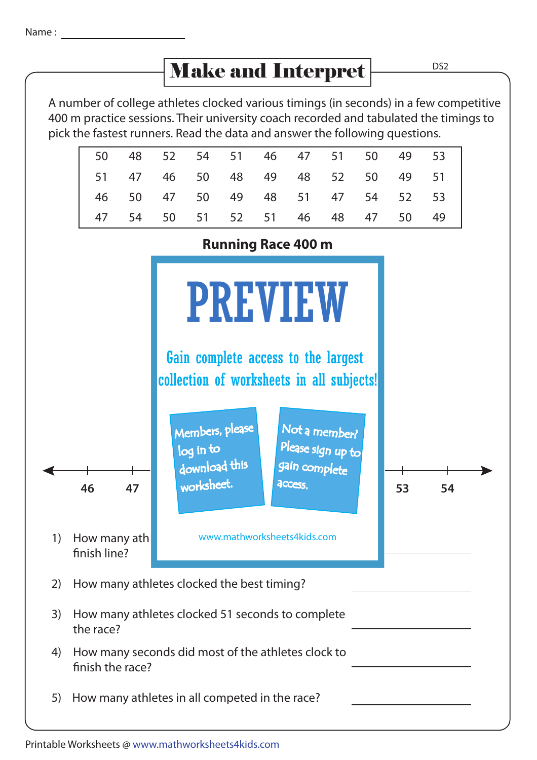## Make and Interpret

|       |  |  |  | 50 48 52 54 51 46 47 51 50 49 53 |  |
|-------|--|--|--|----------------------------------|--|
|       |  |  |  | 51 47 46 50 48 49 48 52 50 49 51 |  |
|       |  |  |  | 46 50 47 50 49 48 51 47 54 52 53 |  |
| 47 54 |  |  |  | 50 51 52 51 46 48 47 50 49       |  |



5) How many athletes in all competed in the race?